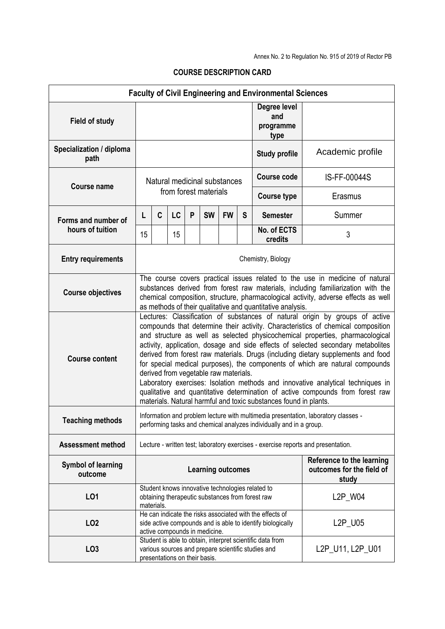|                                         |                                                                                                                                                                                                                                                                                                                                                                                                                                                                                                                                                                                                                                                                                                                                                                                             |                                                                                                                                                                    |           |   |                               |           |                                                        | <b>Faculty of Civil Engineering and Environmental Sciences</b>                                                  |                  |  |  |  |
|-----------------------------------------|---------------------------------------------------------------------------------------------------------------------------------------------------------------------------------------------------------------------------------------------------------------------------------------------------------------------------------------------------------------------------------------------------------------------------------------------------------------------------------------------------------------------------------------------------------------------------------------------------------------------------------------------------------------------------------------------------------------------------------------------------------------------------------------------|--------------------------------------------------------------------------------------------------------------------------------------------------------------------|-----------|---|-------------------------------|-----------|--------------------------------------------------------|-----------------------------------------------------------------------------------------------------------------|------------------|--|--|--|
| <b>Field of study</b>                   |                                                                                                                                                                                                                                                                                                                                                                                                                                                                                                                                                                                                                                                                                                                                                                                             |                                                                                                                                                                    |           |   |                               |           |                                                        | Degree level<br>and<br>programme<br>type                                                                        |                  |  |  |  |
| Specialization / diploma<br>path        |                                                                                                                                                                                                                                                                                                                                                                                                                                                                                                                                                                                                                                                                                                                                                                                             |                                                                                                                                                                    |           |   |                               |           |                                                        | <b>Study profile</b>                                                                                            | Academic profile |  |  |  |
| <b>Course name</b>                      | Natural medicinal substances<br>from forest materials                                                                                                                                                                                                                                                                                                                                                                                                                                                                                                                                                                                                                                                                                                                                       |                                                                                                                                                                    |           |   |                               |           |                                                        | <b>Course code</b>                                                                                              | IS-FF-00044S     |  |  |  |
|                                         |                                                                                                                                                                                                                                                                                                                                                                                                                                                                                                                                                                                                                                                                                                                                                                                             |                                                                                                                                                                    |           |   |                               |           |                                                        | <b>Course type</b>                                                                                              | Erasmus          |  |  |  |
| Forms and number of<br>hours of tuition | L                                                                                                                                                                                                                                                                                                                                                                                                                                                                                                                                                                                                                                                                                                                                                                                           | C                                                                                                                                                                  | <b>LC</b> | P | <b>SW</b>                     | <b>FW</b> | S                                                      | <b>Semester</b>                                                                                                 | Summer           |  |  |  |
|                                         | 15                                                                                                                                                                                                                                                                                                                                                                                                                                                                                                                                                                                                                                                                                                                                                                                          |                                                                                                                                                                    | 15        |   |                               |           |                                                        | No. of ECTS<br>credits                                                                                          | 3                |  |  |  |
| <b>Entry requirements</b>               | Chemistry, Biology                                                                                                                                                                                                                                                                                                                                                                                                                                                                                                                                                                                                                                                                                                                                                                          |                                                                                                                                                                    |           |   |                               |           |                                                        |                                                                                                                 |                  |  |  |  |
| <b>Course objectives</b>                | The course covers practical issues related to the use in medicine of natural<br>substances derived from forest raw materials, including familiarization with the<br>chemical composition, structure, pharmacological activity, adverse effects as well<br>as methods of their qualitative and quantitative analysis.                                                                                                                                                                                                                                                                                                                                                                                                                                                                        |                                                                                                                                                                    |           |   |                               |           |                                                        |                                                                                                                 |                  |  |  |  |
| <b>Course content</b>                   | Lectures: Classification of substances of natural origin by groups of active<br>compounds that determine their activity. Characteristics of chemical composition<br>and structure as well as selected physicochemical properties, pharmacological<br>activity, application, dosage and side effects of selected secondary metabolites<br>derived from forest raw materials. Drugs (including dietary supplements and food<br>for special medical purposes), the components of which are natural compounds<br>derived from vegetable raw materials.<br>Laboratory exercises: Isolation methods and innovative analytical techniques in<br>qualitative and quantitative determination of active compounds from forest raw<br>materials. Natural harmful and toxic substances found in plants. |                                                                                                                                                                    |           |   |                               |           |                                                        |                                                                                                                 |                  |  |  |  |
| <b>Teaching methods</b>                 | Information and problem lecture with multimedia presentation, laboratory classes<br>performing tasks and chemical analyzes individually and in a group.                                                                                                                                                                                                                                                                                                                                                                                                                                                                                                                                                                                                                                     |                                                                                                                                                                    |           |   |                               |           |                                                        |                                                                                                                 |                  |  |  |  |
| <b>Assessment method</b>                | Lecture - written test; laboratory exercises - exercise reports and presentation.                                                                                                                                                                                                                                                                                                                                                                                                                                                                                                                                                                                                                                                                                                           |                                                                                                                                                                    |           |   |                               |           |                                                        |                                                                                                                 |                  |  |  |  |
| <b>Symbol of learning</b><br>outcome    | <b>Learning outcomes</b><br>study                                                                                                                                                                                                                                                                                                                                                                                                                                                                                                                                                                                                                                                                                                                                                           |                                                                                                                                                                    |           |   |                               |           | Reference to the learning<br>outcomes for the field of |                                                                                                                 |                  |  |  |  |
| LO1                                     |                                                                                                                                                                                                                                                                                                                                                                                                                                                                                                                                                                                                                                                                                                                                                                                             | Student knows innovative technologies related to<br>L2P_W04<br>obtaining therapeutic substances from forest raw<br>materials.                                      |           |   |                               |           |                                                        |                                                                                                                 |                  |  |  |  |
| LO <sub>2</sub>                         |                                                                                                                                                                                                                                                                                                                                                                                                                                                                                                                                                                                                                                                                                                                                                                                             | He can indicate the risks associated with the effects of<br>L2P_U05<br>side active compounds and is able to identify biologically<br>active compounds in medicine. |           |   |                               |           |                                                        |                                                                                                                 |                  |  |  |  |
| LO <sub>3</sub>                         |                                                                                                                                                                                                                                                                                                                                                                                                                                                                                                                                                                                                                                                                                                                                                                                             |                                                                                                                                                                    |           |   | presentations on their basis. |           |                                                        | Student is able to obtain, interpret scientific data from<br>various sources and prepare scientific studies and | L2P_U11, L2P_U01 |  |  |  |

## **COURSE DESCRIPTION CARD**